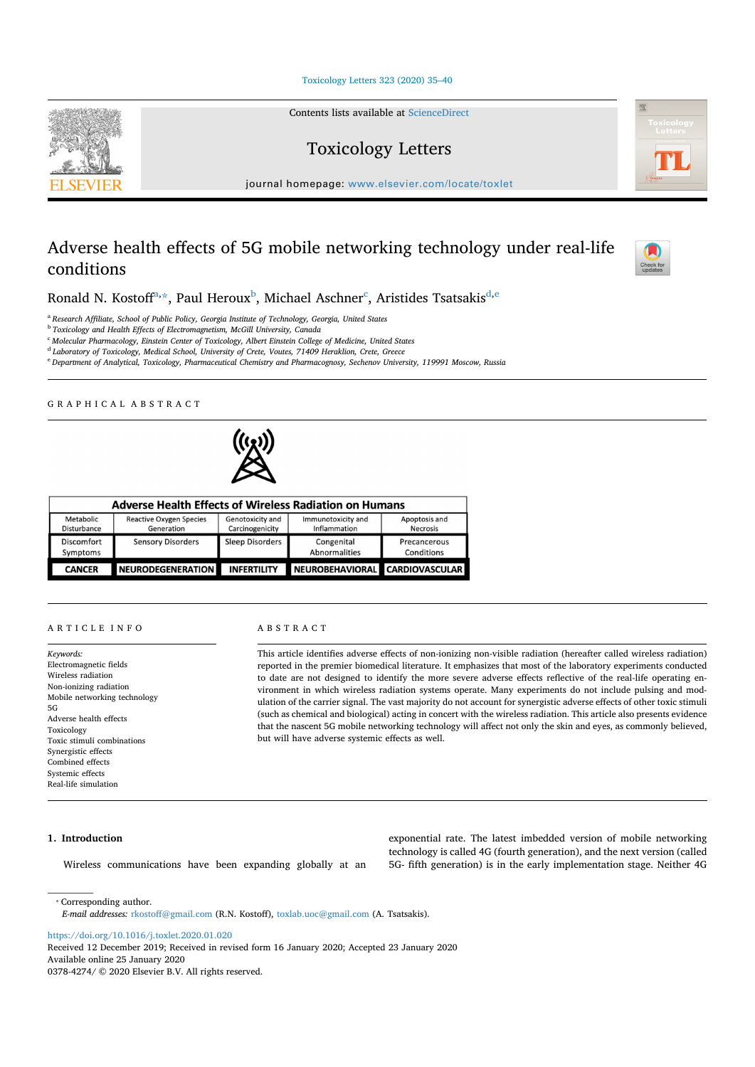Toxicology Letters 323 (2020) 35-40

Contents lists available at ScienceDirect

Toxicology Letters





journal homepage: www.elsevier.com/locate/toxlet

# Adverse health effects of 5G mobile networking technology under real-life conditions



Ronald N. Kostoff $^{\rm a, \star}$ , Paul Heroux $^{\rm b}$ , Michael Aschner $^{\rm c}$ , Aristides Tsatsakis $^{\rm d, e}$ 

<sup>a</sup> *Research Affiliate, School of Public Policy, Georgia Institute of Technology, Georgia, United States*

<sup>b</sup> *Toxicology and Health Effects of Electromagnetism, McGill University, Canada*

<sup>c</sup> *Molecular Pharmacology, Einstein Center of Toxicology, Albert Einstein College of Medicine, United States*

<sup>d</sup> *Laboratory of Toxicology, Medical School, University of Crete, Voutes, 71409 Heraklion, Crete, Greece*

<sup>e</sup> *Department of Analytical, Toxicology, Pharmaceutical Chemistry and Pharmacognosy, Sechenov University, 119991 Moscow, Russia*

# GRAPHICAL ABSTRACT



| <b>Adverse Health Effects of Wireless Radiation on Humans</b> |                                              |                                     |                                    |                                  |
|---------------------------------------------------------------|----------------------------------------------|-------------------------------------|------------------------------------|----------------------------------|
| Metabolic<br>Disturbance                                      | <b>Reactive Oxygen Species</b><br>Generation | Genotoxicity and<br>Carcinogenicity | Immunotoxicity and<br>Inflammation | Apoptosis and<br><b>Necrosis</b> |
| Discomfort<br>Symptoms                                        | <b>Sensory Disorders</b>                     | Sleep Disorders                     | Congenital<br>Abnormalities        | Precancerous<br>Conditions       |
| <b>CANCER</b>                                                 | NEURODEGENERATION                            | <b>INFERTILITY</b>                  | NEUROBEHAVIORAL CARDIOVASCULAR     |                                  |

#### ARTICLE INFO

*Keywords:* Electromagnetic fields Wireless radiation Non-ionizing radiation Mobile networking technology 5G Adverse health effects Toxicology Toxic stimuli combinations Synergistic effects Combined effects Systemic effects Real-life simulation

#### ABSTRACT

This article identifies adverse effects of non-ionizing non-visible radiation (hereafter called wireless radiation) reported in the premier biomedical literature. It emphasizes that most of the laboratory experiments conducted to date are not designed to identify the more severe adverse effects reflective of the real-life operating environment in which wireless radiation systems operate. Many experiments do not include pulsing and modulation of the carrier signal. The vast majority do not account for synergistic adverse effects of other toxic stimuli (such as chemical and biological) acting in concert with the wireless radiation. This article also presents evidence that the nascent 5G mobile networking technology will affect not only the skin and eyes, as commonly believed, but will have adverse systemic effects as well.

## **1. Introduction**

Wireless communications have been expanding globally at an

exponential rate. The latest imbedded version of mobile networking technology is called 4G (fourth generation), and the next version (called 5G- fifth generation) is in the early implementation stage. Neither 4G

⁎ Corresponding author. *E-mail addresses:* rkostoff@gmail.com (R.N. Kostoff), toxlab.uoc@gmail.com (A. Tsatsakis).

https://doi.org/10.1016/j.toxlet.2020.01.020

Received 12 December 2019; Received in revised form 16 January 2020; Accepted 23 January 2020

Available online 25 January 2020

0378-4274/ © 2020 Elsevier B.V. All rights reserved.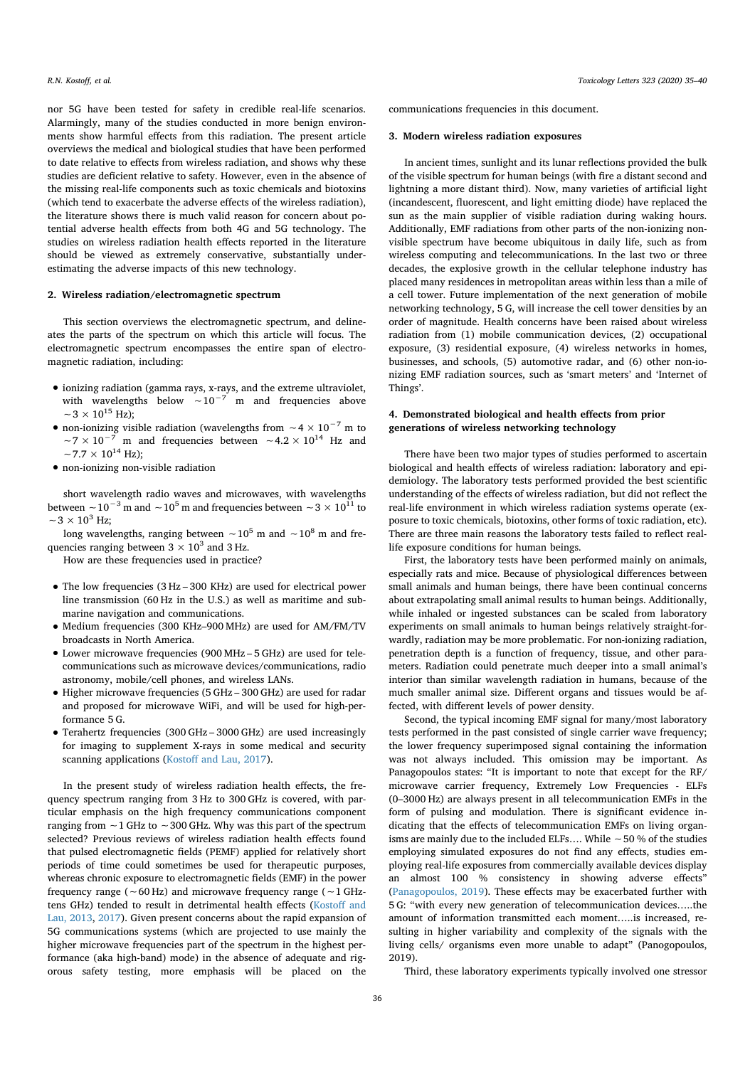nor 5G have been tested for safety in credible real-life scenarios. Alarmingly, many of the studies conducted in more benign environments show harmful effects from this radiation. The present article overviews the medical and biological studies that have been performed to date relative to effects from wireless radiation, and shows why these studies are deficient relative to safety. However, even in the absence of the missing real-life components such as toxic chemicals and biotoxins (which tend to exacerbate the adverse effects of the wireless radiation), the literature shows there is much valid reason for concern about potential adverse health effects from both 4G and 5G technology. The studies on wireless radiation health effects reported in the literature should be viewed as extremely conservative, substantially underestimating the adverse impacts of this new technology.

## **2. Wireless radiation/electromagnetic spectrum**

This section overviews the electromagnetic spectrum, and delineates the parts of the spectrum on which this article will focus. The electromagnetic spectrum encompasses the entire span of electromagnetic radiation, including:

- ionizing radiation (gamma rays, x-rays, and the extreme ultraviolet, with wavelengths below  $\sim 10^{-7}$  m and frequencies above  $~\sim$ 3 × 10<sup>15</sup> Hz);
- non-ionizing visible radiation (wavelengths from  $\sim 4 \times 10^{-7}$  m to  $\sim 7 \times 10^{-7}$  m and frequencies between  $\sim 4.2 \times 10^{14}$  Hz and m and frequencies between  $~\sim$ 4.2  $\times$  10<sup>14</sup> Hz and  $~\sim$  7.7  $\times$  10<sup>14</sup> Hz);
- non-ionizing non-visible radiation

short wavelength radio waves and microwaves, with wavelengths between ∼10<sup>-3</sup> m and ∼10<sup>5</sup> m and frequencies between ∼3 × 10<sup>11</sup> to  $~\sim$  3  $\times$  10<sup>3</sup> Hz;

long wavelengths, ranging between ∼10<sup>5</sup> m and ∼10<sup>8</sup> m and frequencies ranging between  $3 \times 10^3$  and 3 Hz.

How are these frequencies used in practice?

- The low frequencies (3 Hz 300 KHz) are used for electrical power line transmission (60 Hz in the U.S.) as well as maritime and submarine navigation and communications.
- Medium frequencies (300 KHz–900 MHz) are used for AM/FM/TV broadcasts in North America.
- Lower microwave frequencies (900 MHz 5 GHz) are used for telecommunications such as microwave devices/communications, radio astronomy, mobile/cell phones, and wireless LANs.
- Higher microwave frequencies (5 GHz 300 GHz) are used for radar and proposed for microwave WiFi, and will be used for high-performance 5 G.
- Terahertz frequencies (300 GHz 3000 GHz) are used increasingly for imaging to supplement X-rays in some medical and security scanning applications (Kostoff and Lau, 2017).

In the present study of wireless radiation health effects, the frequency spectrum ranging from 3 Hz to 300 GHz is covered, with particular emphasis on the high frequency communications component ranging from ∼1 GHz to ∼300 GHz. Why was this part of the spectrum selected? Previous reviews of wireless radiation health effects found that pulsed electromagnetic fields (PEMF) applied for relatively short periods of time could sometimes be used for therapeutic purposes, whereas chronic exposure to electromagnetic fields (EMF) in the power frequency range (∼60 Hz) and microwave frequency range (∼1 GHztens GHz) tended to result in detrimental health effects (Kostoff and Lau, 2013, 2017). Given present concerns about the rapid expansion of 5G communications systems (which are projected to use mainly the higher microwave frequencies part of the spectrum in the highest performance (aka high-band) mode) in the absence of adequate and rigorous safety testing, more emphasis will be placed on the communications frequencies in this document.

## **3. Modern wireless radiation exposures**

In ancient times, sunlight and its lunar reflections provided the bulk of the visible spectrum for human beings (with fire a distant second and lightning a more distant third). Now, many varieties of artificial light (incandescent, fluorescent, and light emitting diode) have replaced the sun as the main supplier of visible radiation during waking hours. Additionally, EMF radiations from other parts of the non-ionizing nonvisible spectrum have become ubiquitous in daily life, such as from wireless computing and telecommunications. In the last two or three decades, the explosive growth in the cellular telephone industry has placed many residences in metropolitan areas within less than a mile of a cell tower. Future implementation of the next generation of mobile networking technology, 5 G, will increase the cell tower densities by an order of magnitude. Health concerns have been raised about wireless radiation from (1) mobile communication devices, (2) occupational exposure, (3) residential exposure, (4) wireless networks in homes, businesses, and schools, (5) automotive radar, and (6) other non-ionizing EMF radiation sources, such as 'smart meters' and 'Internet of Things'.

# **4. Demonstrated biological and health effects from prior generations of wireless networking technology**

There have been two major types of studies performed to ascertain biological and health effects of wireless radiation: laboratory and epidemiology. The laboratory tests performed provided the best scientific understanding of the effects of wireless radiation, but did not reflect the real-life environment in which wireless radiation systems operate (exposure to toxic chemicals, biotoxins, other forms of toxic radiation, etc). There are three main reasons the laboratory tests failed to reflect reallife exposure conditions for human beings.

First, the laboratory tests have been performed mainly on animals, especially rats and mice. Because of physiological differences between small animals and human beings, there have been continual concerns about extrapolating small animal results to human beings. Additionally, while inhaled or ingested substances can be scaled from laboratory experiments on small animals to human beings relatively straight-forwardly, radiation may be more problematic. For non-ionizing radiation, penetration depth is a function of frequency, tissue, and other parameters. Radiation could penetrate much deeper into a small animal's interior than similar wavelength radiation in humans, because of the much smaller animal size. Different organs and tissues would be affected, with different levels of power density.

Second, the typical incoming EMF signal for many/most laboratory tests performed in the past consisted of single carrier wave frequency; the lower frequency superimposed signal containing the information was not always included. This omission may be important. As Panagopoulos states: "It is important to note that except for the RF/ microwave carrier frequency, Extremely Low Frequencies - ELFs (0–3000 Hz) are always present in all telecommunication EMFs in the form of pulsing and modulation. There is significant evidence indicating that the effects of telecommunication EMFs on living organisms are mainly due to the included ELFs…. While ∼50 % of the studies employing simulated exposures do not find any effects, studies employing real-life exposures from commercially available devices display an almost 100 % consistency in showing adverse effects" (Panagopoulos, 2019). These effects may be exacerbated further with 5 G: "with every new generation of telecommunication devices…..the amount of information transmitted each moment…..is increased, resulting in higher variability and complexity of the signals with the living cells/ organisms even more unable to adapt" (Panogopoulos, 2019).

Third, these laboratory experiments typically involved one stressor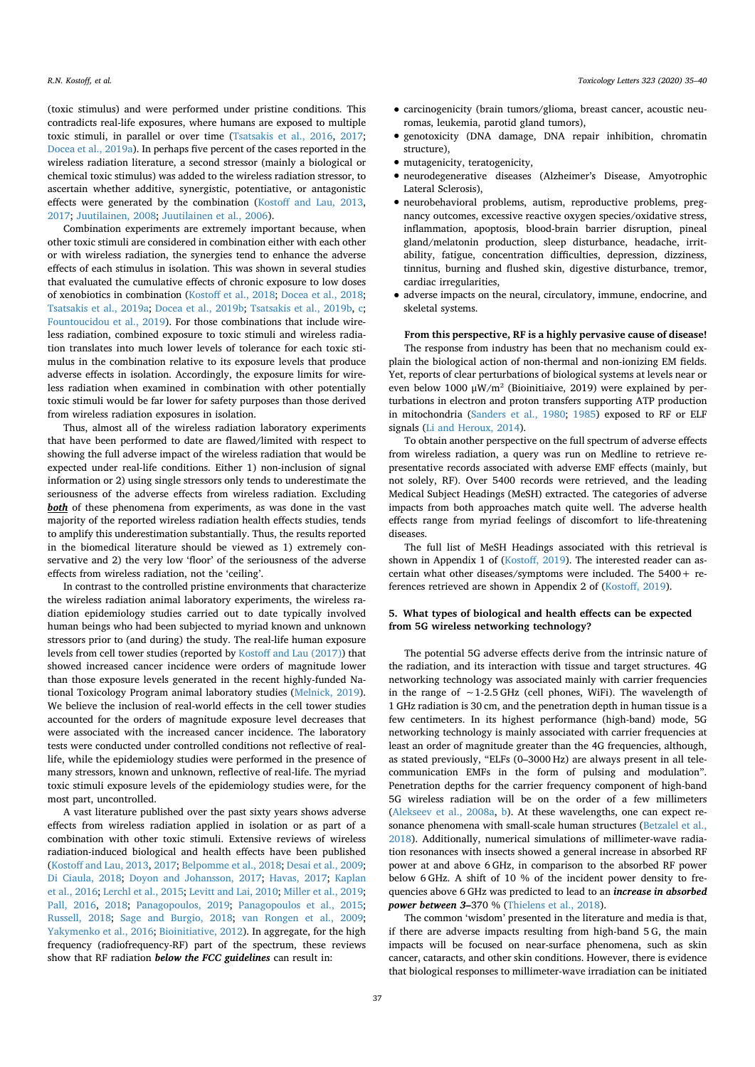(toxic stimulus) and were performed under pristine conditions. This contradicts real-life exposures, where humans are exposed to multiple toxic stimuli, in parallel or over time (Tsatsakis et al., 2016, 2017; Docea et al., 2019a). In perhaps five percent of the cases reported in the wireless radiation literature, a second stressor (mainly a biological or chemical toxic stimulus) was added to the wireless radiation stressor, to ascertain whether additive, synergistic, potentiative, or antagonistic effects were generated by the combination (Kostoff and Lau, 2013, 2017; Juutilainen, 2008; Juutilainen et al., 2006).

Combination experiments are extremely important because, when other toxic stimuli are considered in combination either with each other or with wireless radiation, the synergies tend to enhance the adverse effects of each stimulus in isolation. This was shown in several studies that evaluated the cumulative effects of chronic exposure to low doses of xenobiotics in combination (Kostoff et al., 2018; Docea et al., 2018; Tsatsakis et al., 2019a; Docea et al., 2019b; Tsatsakis et al., 2019b, c; Fountoucidou et al., 2019). For those combinations that include wireless radiation, combined exposure to toxic stimuli and wireless radiation translates into much lower levels of tolerance for each toxic stimulus in the combination relative to its exposure levels that produce adverse effects in isolation. Accordingly, the exposure limits for wireless radiation when examined in combination with other potentially toxic stimuli would be far lower for safety purposes than those derived from wireless radiation exposures in isolation.

Thus, almost all of the wireless radiation laboratory experiments that have been performed to date are flawed/limited with respect to showing the full adverse impact of the wireless radiation that would be expected under real-life conditions. Either 1) non-inclusion of signal information or 2) using single stressors only tends to underestimate the seriousness of the adverse effects from wireless radiation. Excluding **both** of these phenomena from experiments, as was done in the vast majority of the reported wireless radiation health effects studies, tends to amplify this underestimation substantially. Thus, the results reported in the biomedical literature should be viewed as 1) extremely conservative and 2) the very low 'floor' of the seriousness of the adverse effects from wireless radiation, not the 'ceiling'.

In contrast to the controlled pristine environments that characterize the wireless radiation animal laboratory experiments, the wireless radiation epidemiology studies carried out to date typically involved human beings who had been subjected to myriad known and unknown stressors prior to (and during) the study. The real-life human exposure levels from cell tower studies (reported by Kostoff and Lau (2017)) that showed increased cancer incidence were orders of magnitude lower than those exposure levels generated in the recent highly-funded National Toxicology Program animal laboratory studies (Melnick, 2019). We believe the inclusion of real-world effects in the cell tower studies accounted for the orders of magnitude exposure level decreases that were associated with the increased cancer incidence. The laboratory tests were conducted under controlled conditions not reflective of reallife, while the epidemiology studies were performed in the presence of many stressors, known and unknown, reflective of real-life. The myriad toxic stimuli exposure levels of the epidemiology studies were, for the most part, uncontrolled.

A vast literature published over the past sixty years shows adverse effects from wireless radiation applied in isolation or as part of a combination with other toxic stimuli. Extensive reviews of wireless radiation-induced biological and health effects have been published (Kostoff and Lau, 2013, 2017; Belpomme et al., 2018; Desai et al., 2009; Di Ciaula, 2018; Doyon and Johansson, 2017; Havas, 2017; Kaplan et al., 2016; Lerchl et al., 2015; Levitt and Lai, 2010; Miller et al., 2019; Pall, 2016, 2018; Panagopoulos, 2019; Panagopoulos et al., 2015; Russell, 2018; Sage and Burgio, 2018; van Rongen et al., 2009; Yakymenko et al., 2016; Bioinitiative, 2012). In aggregate, for the high frequency (radiofrequency-RF) part of the spectrum, these reviews show that RF radiation *below the FCC guidelines* can result in:

- carcinogenicity (brain tumors/glioma, breast cancer, acoustic neuromas, leukemia, parotid gland tumors),
- genotoxicity (DNA damage, DNA repair inhibition, chromatin structure),
- mutagenicity, teratogenicity,
- neurodegenerative diseases (Alzheimer's Disease, Amyotrophic Lateral Sclerosis),
- neurobehavioral problems, autism, reproductive problems, pregnancy outcomes, excessive reactive oxygen species/oxidative stress, inflammation, apoptosis, blood-brain barrier disruption, pineal gland/melatonin production, sleep disturbance, headache, irritability, fatigue, concentration difficulties, depression, dizziness, tinnitus, burning and flushed skin, digestive disturbance, tremor, cardiac irregularities,
- adverse impacts on the neural, circulatory, immune, endocrine, and skeletal systems.

**From this perspective, RF is a highly pervasive cause of disease!** The response from industry has been that no mechanism could explain the biological action of non-thermal and non-ionizing EM fields. Yet, reports of clear perturbations of biological systems at levels near or even below 1000 μW/m<sup>2</sup> (Bioinitiaive, 2019) were explained by perturbations in electron and proton transfers supporting ATP production in mitochondria (Sanders et al., 1980; 1985) exposed to RF or ELF signals (Li and Heroux, 2014).

To obtain another perspective on the full spectrum of adverse effects from wireless radiation, a query was run on Medline to retrieve representative records associated with adverse EMF effects (mainly, but not solely, RF). Over 5400 records were retrieved, and the leading Medical Subject Headings (MeSH) extracted. The categories of adverse impacts from both approaches match quite well. The adverse health effects range from myriad feelings of discomfort to life-threatening diseases.

The full list of MeSH Headings associated with this retrieval is shown in Appendix 1 of (Kostoff, 2019). The interested reader can ascertain what other diseases/symptoms were included. The  $5400 +$  references retrieved are shown in Appendix 2 of (Kostoff, 2019).

#### **5. What types of biological and health effects can be expected from 5G wireless networking technology?**

The potential 5G adverse effects derive from the intrinsic nature of the radiation, and its interaction with tissue and target structures. 4G networking technology was associated mainly with carrier frequencies in the range of ∼1-2.5 GHz (cell phones, WiFi). The wavelength of 1 GHz radiation is 30 cm, and the penetration depth in human tissue is a few centimeters. In its highest performance (high-band) mode, 5G networking technology is mainly associated with carrier frequencies at least an order of magnitude greater than the 4G frequencies, although, as stated previously, "ELFs (0–3000 Hz) are always present in all telecommunication EMFs in the form of pulsing and modulation". Penetration depths for the carrier frequency component of high-band 5G wireless radiation will be on the order of a few millimeters (Alekseev et al., 2008a, b). At these wavelengths, one can expect resonance phenomena with small-scale human structures (Betzalel et al., 2018). Additionally, numerical simulations of millimeter-wave radiation resonances with insects showed a general increase in absorbed RF power at and above 6 GHz, in comparison to the absorbed RF power below 6 GHz. A shift of 10 % of the incident power density to frequencies above 6 GHz was predicted to lead to an *increase in absorbed power between 3–*370 % (Thielens et al., 2018).

The common 'wisdom' presented in the literature and media is that, if there are adverse impacts resulting from high-band 5 G, the main impacts will be focused on near-surface phenomena, such as skin cancer, cataracts, and other skin conditions. However, there is evidence that biological responses to millimeter-wave irradiation can be initiated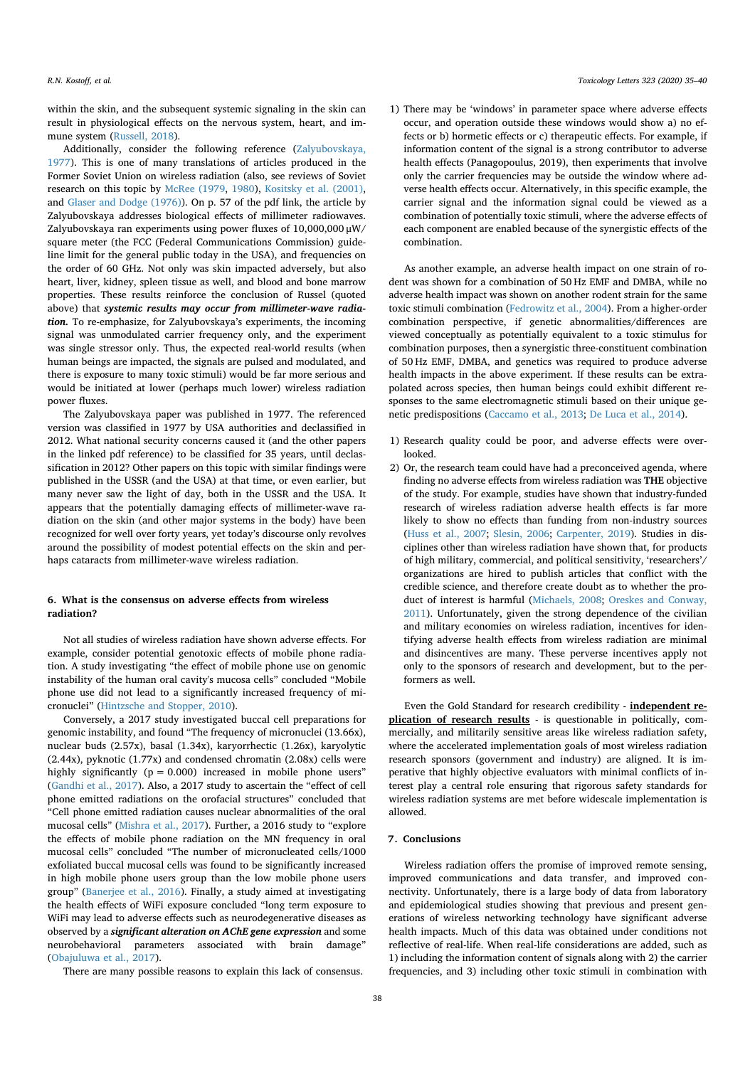within the skin, and the subsequent systemic signaling in the skin can result in physiological effects on the nervous system, heart, and immune system (Bussell, 2018).

Additionally, consider the following reference (Zalyubovskaya, 1977). This is one of many translations of articles produced in the Former Soviet Union on wireless radiation (also, see reviews of Soviet research on this topic by McRee (1979, 1980), Kositsky et al. (2001), and Glaser and Dodge (1976)). On p. 57 of the pdf link, the article by Zalyubovskaya addresses biological effects of millimeter radiowaves. Zalyubovskaya ran experiments using power fluxes of 10,000,000 μW/ square meter (the FCC (Federal Communications Commission) guideline limit for the general public today in the USA), and frequencies on the order of 60 GHz. Not only was skin impacted adversely, but also heart, liver, kidney, spleen tissue as well, and blood and bone marrow properties. These results reinforce the conclusion of Russel (quoted above) that *systemic results may occur from millimeter-wave radiation.* To re-emphasize, for Zalyubovskaya's experiments, the incoming signal was unmodulated carrier frequency only, and the experiment was single stressor only. Thus, the expected real-world results (when human beings are impacted, the signals are pulsed and modulated, and there is exposure to many toxic stimuli) would be far more serious and would be initiated at lower (perhaps much lower) wireless radiation power fluxes.

The Zalyubovskaya paper was published in 1977. The referenced version was classified in 1977 by USA authorities and declassified in 2012. What national security concerns caused it (and the other papers in the linked pdf reference) to be classified for 35 years, until declassification in 2012? Other papers on this topic with similar findings were published in the USSR (and the USA) at that time, or even earlier, but many never saw the light of day, both in the USSR and the USA. It appears that the potentially damaging effects of millimeter-wave radiation on the skin (and other major systems in the body) have been recognized for well over forty years, yet today's discourse only revolves around the possibility of modest potential effects on the skin and perhaps cataracts from millimeter-wave wireless radiation.

#### **6. What is the consensus on adverse effects from wireless radiation?**

Not all studies of wireless radiation have shown adverse effects. For example, consider potential genotoxic effects of mobile phone radiation. A study investigating "the effect of mobile phone use on genomic instability of the human oral cavity's mucosa cells" concluded "Mobile phone use did not lead to a significantly increased frequency of micronuclei" (Hintzsche and Stopper, 2010).

Conversely, a 2017 study investigated buccal cell preparations for genomic instability, and found "The frequency of micronuclei (13.66x), nuclear buds (2.57x), basal (1.34x), karyorrhectic (1.26x), karyolytic (2.44x), pyknotic (1.77x) and condensed chromatin (2.08x) cells were highly significantly  $(p = 0.000)$  increased in mobile phone users" (Gandhi et al., 2017). Also, a 2017 study to ascertain the "effect of cell phone emitted radiations on the orofacial structures" concluded that "Cell phone emitted radiation causes nuclear abnormalities of the oral mucosal cells" (Mishra et al., 2017). Further, a 2016 study to "explore the effects of mobile phone radiation on the MN frequency in oral mucosal cells" concluded "The number of micronucleated cells/1000 exfoliated buccal mucosal cells was found to be significantly increased in high mobile phone users group than the low mobile phone users group" (Banerjee et al., 2016). Finally, a study aimed at investigating the health effects of WiFi exposure concluded "long term exposure to WiFi may lead to adverse effects such as neurodegenerative diseases as observed by a *significant alteration on AChE gene expression* and some neurobehavioral parameters associated with brain damage" (Obajuluwa et al., 2017).

There are many possible reasons to explain this lack of consensus.

1) There may be 'windows' in parameter space where adverse effects occur, and operation outside these windows would show a) no effects or b) hormetic effects or c) therapeutic effects. For example, if information content of the signal is a strong contributor to adverse health effects (Panagopoulus, 2019), then experiments that involve only the carrier frequencies may be outside the window where adverse health effects occur. Alternatively, in this specific example, the carrier signal and the information signal could be viewed as a combination of potentially toxic stimuli, where the adverse effects of each component are enabled because of the synergistic effects of the combination.

As another example, an adverse health impact on one strain of rodent was shown for a combination of 50 Hz EMF and DMBA, while no adverse health impact was shown on another rodent strain for the same toxic stimuli combination (Fedrowitz et al., 2004). From a higher-order combination perspective, if genetic abnormalities/differences are viewed conceptually as potentially equivalent to a toxic stimulus for combination purposes, then a synergistic three-constituent combination of 50 Hz EMF, DMBA, and genetics was required to produce adverse health impacts in the above experiment. If these results can be extrapolated across species, then human beings could exhibit different responses to the same electromagnetic stimuli based on their unique genetic predispositions (Caccamo et al., 2013; De Luca et al., 2014).

- 1) Research quality could be poor, and adverse effects were overlooked.
- 2) Or, the research team could have had a preconceived agenda, where finding no adverse effects from wireless radiation was **THE** objective of the study. For example, studies have shown that industry-funded research of wireless radiation adverse health effects is far more likely to show no effects than funding from non-industry sources (Huss et al., 2007; Slesin, 2006; Carpenter, 2019). Studies in disciplines other than wireless radiation have shown that, for products of high military, commercial, and political sensitivity, 'researchers'/ organizations are hired to publish articles that conflict with the credible science, and therefore create doubt as to whether the product of interest is harmful (Michaels, 2008; Oreskes and Conway, 2011). Unfortunately, given the strong dependence of the civilian and military economies on wireless radiation, incentives for identifying adverse health effects from wireless radiation are minimal and disincentives are many. These perverse incentives apply not only to the sponsors of research and development, but to the performers as well.

Even the Gold Standard for research credibility - **independent replication of research results** - is questionable in politically, commercially, and militarily sensitive areas like wireless radiation safety, where the accelerated implementation goals of most wireless radiation research sponsors (government and industry) are aligned. It is imperative that highly objective evaluators with minimal conflicts of interest play a central role ensuring that rigorous safety standards for wireless radiation systems are met before widescale implementation is allowed.

## **7. Conclusions**

Wireless radiation offers the promise of improved remote sensing, improved communications and data transfer, and improved connectivity. Unfortunately, there is a large body of data from laboratory and epidemiological studies showing that previous and present generations of wireless networking technology have significant adverse health impacts. Much of this data was obtained under conditions not reflective of real-life. When real-life considerations are added, such as 1) including the information content of signals along with 2) the carrier frequencies, and 3) including other toxic stimuli in combination with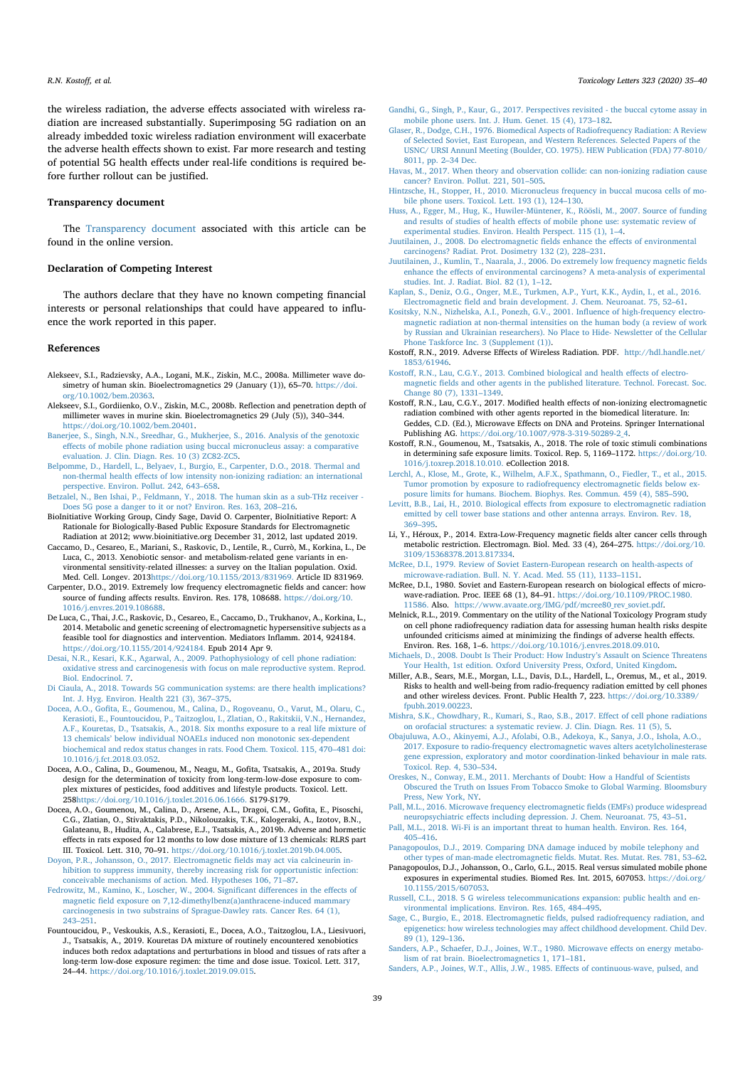R.N. Kostoff, et al. *7Ricology Letters 323 (2020) 35-40 7 oxicology Letters 323 (2020) 35-40* 

the wireless radiation, the adverse effects associated with wireless radiation are increased substantially. Superimposing 5G radiation on an already imbedded toxic wireless radiation environment will exacerbate the adverse health effects shown to exist. Far more research and testing of potential 5G health effects under real-life conditions is required before further rollout can be justified.

#### **Transparency document**

The Transparency document associated with this article can be found in the online version.

#### **Declaration of Competing Interest**

The authors declare that they have no known competing financial interests or personal relationships that could have appeared to influence the work reported in this paper.

#### **References**

- Alekseev, S.I., Radzievsky, A.A., Logani, M.K., Ziskin, M.C., 2008a. Millimeter wave dosimetry of human skin. Bioelectromagnetics 29 (January (1)), 65–70. https://doi. org/10.1002/bem.20363.
- Alekseev, S.I., Gordiienko, O.V., Ziskin, M.C., 2008b. Reflection and penetration depth of millimeter waves in murine skin. Bioelectromagnetics 29 (July (5)), 340–344. https://doi.org/10.1002/bem.20401.
- Banerjee, S., Singh, N.N., Sreedhar, G., Mukherjee, S., 2016. Analysis of the genotoxic effects of mobile phone radiation using buccal micronucleus assay: a comparative evaluation. J. Clin. Diagn. Res. 10 (3) ZC82-ZC5.
- Belpomme, D., Hardell, L., Belyaev, I., Burgio, E., Carpenter, D.O., 2018. Thermal and non-thermal health effects of low intensity non-ionizing radiation: an international perspective. Environ. Pollut. 242, 643–658.
- Betzalel, N., Ben Ishai, P., Feldmann, Y., 2018. The human skin as a sub-THz receiver Does 5G pose a danger to it or not? Environ. Res. 163, 208–216.
- BioInitiative Working Group, Cindy Sage, David O. Carpenter, BioInitiative Report: A Rationale for Biologically-Based Public Exposure Standards for Electromagnetic Radiation at 2012; www.bioinitiative.org December 31, 2012, last updated 2019.
- Caccamo, D., Cesareo, E., Mariani, S., Raskovic, D., Lentile, R., Currò, M., Korkina, L., De Luca, C., 2013. Xenobiotic sensor- and metabolism-related gene variants in environmental sensitivity-related illnesses: a survey on the Italian population. Oxid. Med. Cell. Longev. 2013https://doi.org/10.1155/2013/831969. Article ID 831969.
- Carpenter, D.O., 2019. Extremely low frequency electromagnetic fields and cancer: how source of funding affects results. Environ. Res. 178, 108688. https://doi.org/10. 1016/j.envres.2019.108688.
- De Luca, C., Thai, J.C., Raskovic, D., Cesareo, E., Caccamo, D., Trukhanov, A., Korkina, L., 2014. Metabolic and genetic screening of electromagnetic hypersensitive subjects as a feasible tool for diagnostics and intervention. Mediators Inflamm. 2014, 924184. https://doi.org/10.1155/2014/924184. Epub 2014 Apr 9.
- Desai, N.R., Kesari, K.K., Agarwal, A., 2009. Pathophysiology of cell phone radiation: oxidative stress and carcinogenesis with focus on male reproductive system. Reprod. Biol. Endocrinol. 7.
- Di Ciaula, A., 2018. Towards 5G communication systems: are there health implications? Int. J. Hyg. Environ. Health 221 (3), 367–375.
- Docea, A.O., Gofita, E., Goumenou, M., Calina, D., Rogoveanu, O., Varut, M., Olaru, C., Kerasioti, E., Fountoucidou, P., Taitzoglou, I., Zlatian, O., Rakitskii, V.N., Hernandez, A.F., Kouretas, D., Tsatsakis, A., 2018. Six months exposure to a real life mixture of 13 chemicals' below individual NOAELs induced non monotonic sex-dependent biochemical and redox status changes in rats. Food Chem. Toxicol. 115, 470–481 doi: 10.1016/j.fct.2018.03.052.
- Docea, A.O., Calina, D., Goumenou, M., Neagu, M., Gofita, Tsatsakis, A., 2019a. Study design for the determination of toxicity from long-term-low-dose exposure to complex mixtures of pesticides, food additives and lifestyle products. Toxicol. Lett. 258https://doi.org/10.1016/j.toxlet.2016.06.1666. S179-S179.
- Docea, A.O., Goumenou, M., Calina, D., Arsene, A.L., Dragoi, C.M., Gofita, E., Pisoschi, C.G., Zlatian, O., Stivaktakis, P.D., Nikolouzakis, T.K., Kalogeraki, A., Izotov, B.N., Galateanu, B., Hudita, A., Calabrese, E.J., Tsatsakis, A., 2019b. Adverse and hormetic effects in rats exposed for 12 months to low dose mixture of 13 chemicals: RLRS part III. Toxicol. Lett. 310, 70–91. https://doi.org/10.1016/j.toxlet.2019b.04.005.
- Doyon, P.R., Johansson, O., 2017. Electromagnetic fields may act via calcineurin inhibition to suppress immunity, thereby increasing risk for opportunistic infection: conceivable mechanisms of action. Med. Hypotheses 106, 71–87.
- Fedrowitz, M., Kamino, K., Loscher, W., 2004. Significant differences in the effects of magnetic field exposure on 7,12-dimethylbenz(a)anthracene-induced mammary carcinogenesis in two substrains of Sprague-Dawley rats. Cancer Res. 64 (1), 243–251.
- Fountoucidou, P., Veskoukis, A.S., Kerasioti, E., Docea, A.O., Taitzoglou, I.A., Liesivuori, J., Tsatsakis, A., 2019. Kouretas DA mixture of routinely encountered xenobiotics induces both redox adaptations and perturbations in blood and tissues of rats after a long-term low-dose exposure regimen: the time and dose issue. Toxicol. Lett. 317, 24–44. https://doi.org/10.1016/j.toxlet.2019.09.015.
- Gandhi, G., Singh, P., Kaur, G., 2017. Perspectives revisited the buccal cytome assay in mobile phone users. Int. J. Hum. Genet. 15 (4), 173–182.
- Glaser, R., Dodge, C.H., 1976. Biomedical Aspects of Radiofrequency Radiation: A Review of Selected Soviet, East European, and Western References. Selected Papers of the USNC/ URSI AnnunI Meeting (Boulder, CO. 1975). HEW Publication (FDA) 77-8010/ 8011, pp. 2–34 Dec.
- Havas, M., 2017. When theory and observation collide: can non-ionizing radiation cause cancer? Environ. Pollut. 221, 501–505.
- Hintzsche, H., Stopper, H., 2010. Micronucleus frequency in buccal mucosa cells of mobile phone users. Toxicol. Lett. 193 (1), 124–130.
- Huss, A., Egger, M., Hug, K., Huwiler-Müntener, K., Röösli, M., 2007. Source of funding and results of studies of health effects of mobile phone use: systematic review of experimental studies. Environ. Health Perspect. 115 (1), 1–4.
- Juutilainen, J., 2008. Do electromagnetic fields enhance the effects of environmental carcinogens? Radiat. Prot. Dosimetry 132 (2), 228–231.
- Juutilainen, J., Kumlin, T., Naarala, J., 2006. Do extremely low frequency magnetic fields enhance the effects of environmental carcinogens? A meta-analysis of experimental studies. Int. J. Radiat. Biol. 82 (1), 1–12.
- Kaplan, S., Deniz, O.G., Onger, M.E., Turkmen, A.P., Yurt, K.K., Aydin, I., et al., 2016. Electromagnetic field and brain development. J. Chem. Neuroanat. 75, 52–61.
- Kositsky, N.N., Nizhelska, A.I., Ponezh, G.V., 2001. Influence of high-frequency electromagnetic radiation at non-thermal intensities on the human body (a review of work by Russian and Ukrainian researchers). No Place to Hide- Newsletter of the Cellular Phone Taskforce Inc. 3 (Supplement (1)).
- Kostoff, R.N., 2019. Adverse Effects of Wireless Radiation. PDF. http://hdl.handle.net/ 1853/61946.
- Kostoff, R.N., Lau, C.G.Y., 2013. Combined biological and health effects of electromagnetic fields and other agents in the published literature. Technol. Forecast. Soc. Change 80 (7), 1331–1349.
- Kostoff, R.N., Lau, C.G.Y., 2017. Modified health effects of non-ionizing electromagnetic radiation combined with other agents reported in the biomedical literature. In: Geddes, C.D. (Ed.), Microwave Effects on DNA and Proteins. Springer International Publishing AG. https://doi.org/10.1007/978-3-319-50289-2\_4.
- Kostoff, R.N., Goumenou, M., Tsatsakis, A., 2018. The role of toxic stimuli combinations in determining safe exposure limits. Toxicol. Rep. 5, 1169–1172. https://doi.org/10. 1016/j.toxrep.2018.10.010. eCollection 2018.
- Lerchl, A., Klose, M., Grote, K., Wilhelm, A.F.X., Spathmann, O., Fiedler, T., et al., 2015. Tumor promotion by exposure to radiofrequency electromagnetic fields below exposure limits for humans. Biochem. Biophys. Res. Commun. 459 (4), 585–590.
- Levitt, B.B., Lai, H., 2010. Biological effects from exposure to electromagnetic radiation emitted by cell tower base stations and other antenna arrays. Environ. Rev. 18, 369–395.
- Li, Y., Héroux, P., 2014. Extra-Low-Frequency magnetic fields alter cancer cells through metabolic restriction. Electromagn. Biol. Med. 33 (4), 264–275. https://doi.org/10. 3109/15368378.2013.817334.

McRee, D.I., 1979. Review of Soviet Eastern-European research on health-aspects of microwave-radiation. Bull. N. Y. Acad. Med. 55 (11), 1133–1151.

- McRee, D.I., 1980. Soviet and Eastern-European research on biological effects of micro-wave-radiation. Proc. IEEE 68 (1), 84–91. https://doi.org/10.1109/PROC.1980. 11586. Also. https://www.avaate.org/IMG/pdf/mcree80 rev soviet.pdf.
- Melnick, R.L., 2019. Commentary on the utility of the National Toxicology Program study on cell phone radiofrequency radiation data for assessing human health risks despite unfounded criticisms aimed at minimizing the findings of adverse health effects. Environ. Res. 168, 1–6. https://doi.org/10.1016/j.envres.2018.09.010.

Michaels, D., 2008. Doubt Is Their Product: How Industry's Assault on Science Threatens Your Health, 1st edition. Oxford University Press, Oxford, United Kingdom.

- Miller, A.B., Sears, M.E., Morgan, L.L., Davis, D.L., Hardell, L., Oremus, M., et al., 2019. Risks to health and well-being from radio-frequency radiation emitted by cell phones and other wireless devices. Front. Public Health 7, 223. https://doi.org/10.3389/ fpubh.2019.00223.
- Mishra, S.K., Chowdhary, R., Kumari, S., Rao, S.B., 2017. Effect of cell phone radiations on orofacial structures: a systematic review. J. Clin. Diagn. Res. 11 (5), 5.
- Obajuluwa, A.O., Akinyemi, A.J., Afolabi, O.B., Adekoya, K., Sanya, J.O., Ishola, A.O., 2017. Exposure to radio-frequency electromagnetic waves alters acetylcholinesterase gene expression, exploratory and motor coordination-linked behaviour in male rats. Toxicol. Rep. 4, 530–534.
- Oreskes, N., Conway, E.M., 2011. Merchants of Doubt: How a Handful of Scientists Obscured the Truth on Issues From Tobacco Smoke to Global Warming. Bloomsbury Press, New York, NY.
- Pall, M.L., 2016. Microwave frequency electromagnetic fields (EMFs) produce widespread neuropsychiatric effects including depression. J. Chem. Neuroanat. 75, 43–51.
- Pall, M.L., 2018. Wi-Fi is an important threat to human health. Environ. Res. 164, 405–416.
- Panagopoulos, D.J., 2019. Comparing DNA damage induced by mobile telephony and other types of man-made electromagnetic fields. Mutat. Res. Mutat. Res. 781, 53–62.
- Panagopoulos, D.J., Johansson, O., Carlo, G.L., 2015. Real versus simulated mobile phone exposures in experimental studies. Biomed Res. Int. 2015, 607053. https://doi.org/ 10.1155/2015/607053.
- Russell, C.L., 2018. 5 G wireless telecommunications expansion: public health and environmental implications. Environ. Res. 165, 484–495.
- Sage, C., Burgio, E., 2018. Electromagnetic fields, pulsed radiofrequency radiation, and epigenetics: how wireless technologies may affect childhood development. Child Dev. 89 (1), 129–136.

Sanders, A.P., Schaefer, D.J., Joines, W.T., 1980. Microwave effects on energy metabolism of rat brain. Bioelectromagnetics 1, 171–181.

Sanders, A.P., Joines, W.T., Allis, J.W., 1985. Effects of continuous-wave, pulsed, and